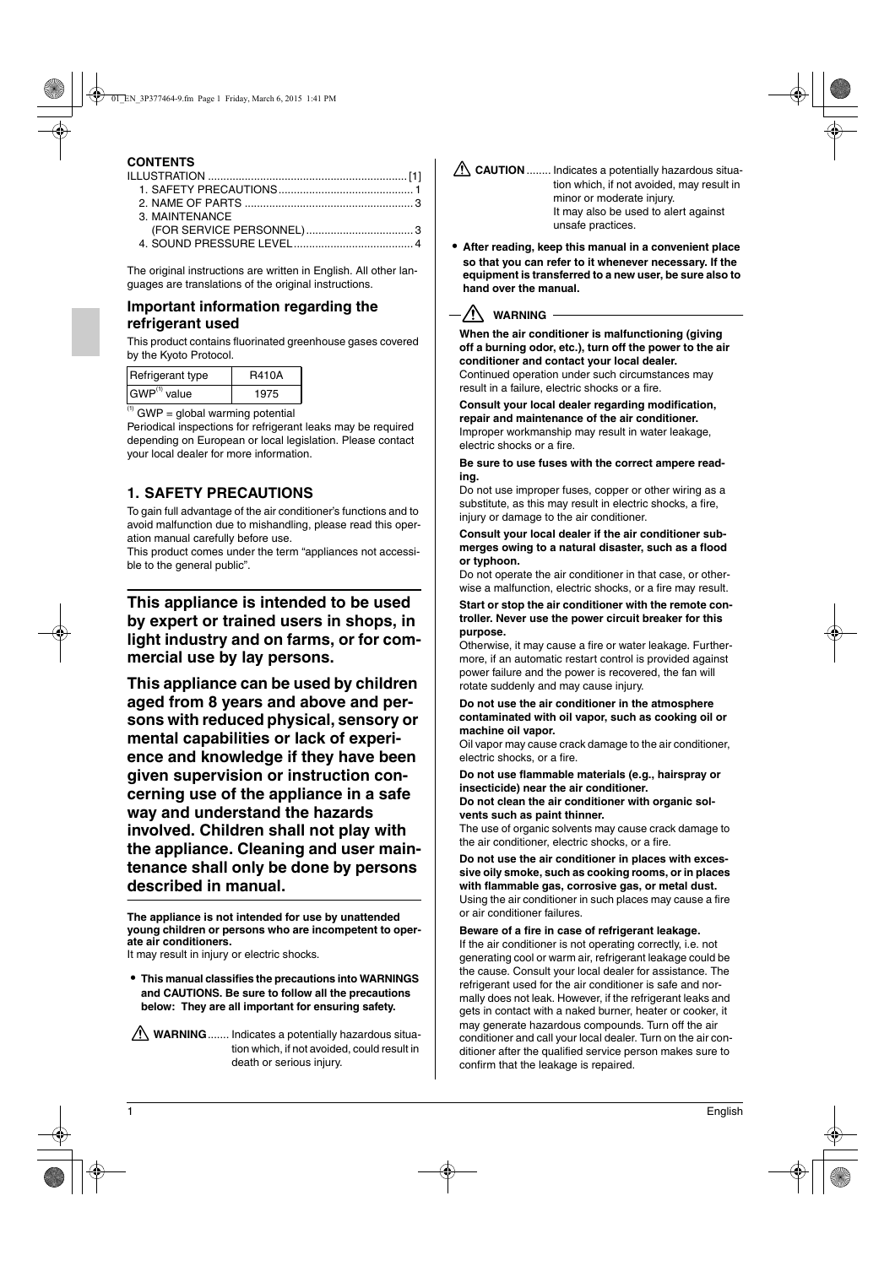# **CONTENTS**

| 3. MAINTENANCE |  |
|----------------|--|
|                |  |
|                |  |

The original instructions are written in English. All other languages are translations of the original instructions.

### **Important information regarding the refrigerant used**

This product contains fluorinated greenhouse gases covered by the Kyoto Protocol.

| Refrigerant type         | <b>R410A</b> |
|--------------------------|--------------|
| GWP <sup>(1)</sup> value | 1975         |

 $<sup>(1)</sup>$  GWP = global warming potential</sup>

Periodical inspections for refrigerant leaks may be required depending on European or local legislation. Please contact your local dealer for more information.

# **1. SAFETY PRECAUTIONS**

To gain full advantage of the air conditioner's functions and to avoid malfunction due to mishandling, please read this operation manual carefully before use.

This product comes under the term "appliances not accessible to the general public".

**This appliance is intended to be used by expert or trained users in shops, in light industry and on farms, or for commercial use by lay persons.**

**This appliance can be used by children aged from 8 years and above and persons with reduced physical, sensory or mental capabilities or lack of experience and knowledge if they have been given supervision or instruction concerning use of the appliance in a safe way and understand the hazards involved. Children shall not play with the appliance. Cleaning and user maintenance shall only be done by persons described in manual.**

**The appliance is not intended for use by unattended young children or persons who are incompetent to operate air conditioners.**

It may result in injury or electric shocks.

**• This manual classifies the precautions into WARNINGS and CAUTIONS. Be sure to follow all the precautions below: They are all important for ensuring safety.**

**WARNING**....... Indicates a potentially hazardous situation which, if not avoided, could result in death or serious injury.

- **CAUTION** ........ Indicates a potentially hazardous situation which, if not avoided, may result in minor or moderate injury. It may also be used to alert against unsafe practices.
- **• After reading, keep this manual in a convenient place so that you can refer to it whenever necessary. If the equipment is transferred to a new user, be sure also to hand over the manual.**

### -<u>/!\</u> warning -

**When the air conditioner is malfunctioning (giving off a burning odor, etc.), turn off the power to the air conditioner and contact your local dealer.** Continued operation under such circumstances may result in a failure, electric shocks or a fire.

**Consult your local dealer regarding modification, repair and maintenance of the air conditioner.** Improper workmanship may result in water leakage, electric shocks or a fire.

**Be sure to use fuses with the correct ampere reading.**

Do not use improper fuses, copper or other wiring as a substitute, as this may result in electric shocks, a fire, injury or damage to the air conditioner.

**Consult your local dealer if the air conditioner submerges owing to a natural disaster, such as a flood or typhoon.**

Do not operate the air conditioner in that case, or otherwise a malfunction, electric shocks, or a fire may result.

**Start or stop the air conditioner with the remote controller. Never use the power circuit breaker for this purpose.** 

Otherwise, it may cause a fire or water leakage. Furthermore, if an automatic restart control is provided against power failure and the power is recovered, the fan will rotate suddenly and may cause injury.

#### **Do not use the air conditioner in the atmosphere contaminated with oil vapor, such as cooking oil or machine oil vapor.**

Oil vapor may cause crack damage to the air conditioner, electric shocks, or a fire.

**Do not use flammable materials (e.g., hairspray or insecticide) near the air conditioner.**

**Do not clean the air conditioner with organic solvents such as paint thinner.**

The use of organic solvents may cause crack damage to the air conditioner, electric shocks, or a fire.

**Do not use the air conditioner in places with excessive oily smoke, such as cooking rooms, or in places with flammable gas, corrosive gas, or metal dust.** Using the air conditioner in such places may cause a fire or air conditioner failures.

**Beware of a fire in case of refrigerant leakage.**

If the air conditioner is not operating correctly, i.e. not generating cool or warm air, refrigerant leakage could be the cause. Consult your local dealer for assistance. The refrigerant used for the air conditioner is safe and normally does not leak. However, if the refrigerant leaks and gets in contact with a naked burner, heater or cooker, it may generate hazardous compounds. Turn off the air conditioner and call your local dealer. Turn on the air conditioner after the qualified service person makes sure to confirm that the leakage is repaired.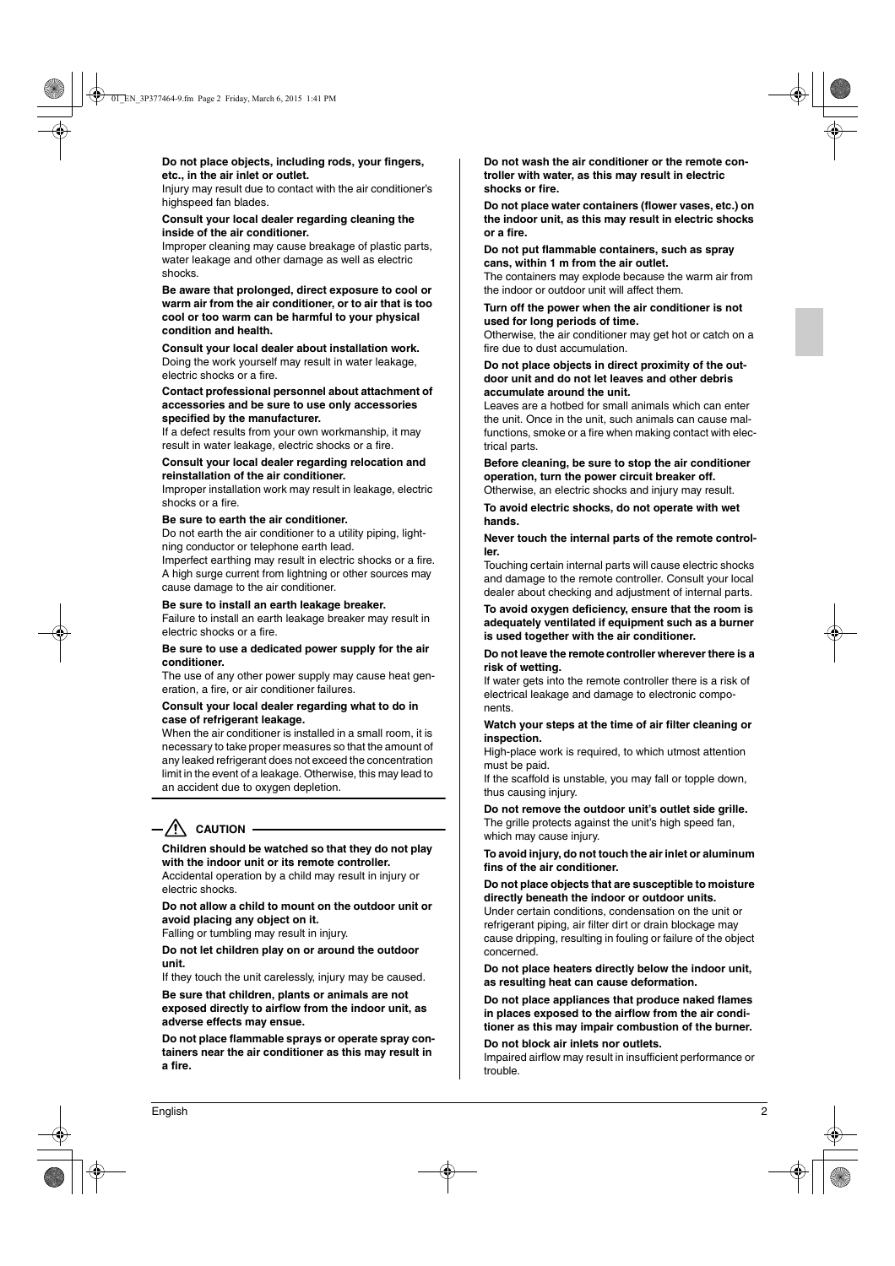**Do not place objects, including rods, your fingers, etc., in the air inlet or outlet.**

Injury may result due to contact with the air conditioner's highspeed fan blades.

#### **Consult your local dealer regarding cleaning the inside of the air conditioner.**

Improper cleaning may cause breakage of plastic parts, water leakage and other damage as well as electric shocks.

**Be aware that prolonged, direct exposure to cool or warm air from the air conditioner, or to air that is too cool or too warm can be harmful to your physical condition and health.**

**Consult your local dealer about installation work.** Doing the work yourself may result in water leakage, electric shocks or a fire.

**Contact professional personnel about attachment of accessories and be sure to use only accessories specified by the manufacturer.**

If a defect results from your own workmanship, it may result in water leakage, electric shocks or a fire.

**Consult your local dealer regarding relocation and reinstallation of the air conditioner.**

Improper installation work may result in leakage, electric shocks or a fire.

#### **Be sure to earth the air conditioner.**

Do not earth the air conditioner to a utility piping, lightning conductor or telephone earth lead.

Imperfect earthing may result in electric shocks or a fire. A high surge current from lightning or other sources may cause damage to the air conditioner.

**Be sure to install an earth leakage breaker.**

Failure to install an earth leakage breaker may result in electric shocks or a fire.

**Be sure to use a dedicated power supply for the air conditioner.**

The use of any other power supply may cause heat generation, a fire, or air conditioner failures.

#### **Consult your local dealer regarding what to do in case of refrigerant leakage.**

When the air conditioner is installed in a small room, it is necessary to take proper measures so that the amount of any leaked refrigerant does not exceed the concentration limit in the event of a leakage. Otherwise, this may lead to an accident due to oxygen depletion.

# $-\sqrt{N}$  caution -

### **Children should be watched so that they do not play with the indoor unit or its remote controller.**

Accidental operation by a child may result in injury or electric shocks.

**Do not allow a child to mount on the outdoor unit or avoid placing any object on it.**

Falling or tumbling may result in injury.

**Do not let children play on or around the outdoor unit.**

If they touch the unit carelessly, injury may be caused.

**Be sure that children, plants or animals are not exposed directly to airflow from the indoor unit, as adverse effects may ensue.**

**Do not place flammable sprays or operate spray containers near the air conditioner as this may result in a fire.**

**Do not wash the air conditioner or the remote controller with water, as this may result in electric shocks or fire.**

**Do not place water containers (flower vases, etc.) on the indoor unit, as this may result in electric shocks or a fire.**

**Do not put flammable containers, such as spray cans, within 1 m from the air outlet.**

The containers may explode because the warm air from the indoor or outdoor unit will affect them.

**Turn off the power when the air conditioner is not used for long periods of time.**

Otherwise, the air conditioner may get hot or catch on a fire due to dust accumulation.

**Do not place objects in direct proximity of the outdoor unit and do not let leaves and other debris accumulate around the unit.**

Leaves are a hotbed for small animals which can enter the unit. Once in the unit, such animals can cause malfunctions, smoke or a fire when making contact with electrical parts.

**Before cleaning, be sure to stop the air conditioner operation, turn the power circuit breaker off.** Otherwise, an electric shocks and injury may result.

**To avoid electric shocks, do not operate with wet hands.**

**Never touch the internal parts of the remote controller.**

Touching certain internal parts will cause electric shocks and damage to the remote controller. Consult your local dealer about checking and adjustment of internal parts.

**To avoid oxygen deficiency, ensure that the room is adequately ventilated if equipment such as a burner is used together with the air conditioner.**

**Do not leave the remote controller wherever there is a risk of wetting.**

If water gets into the remote controller there is a risk of electrical leakage and damage to electronic components.

**Watch your steps at the time of air filter cleaning or inspection.**

High-place work is required, to which utmost attention must be paid.

If the scaffold is unstable, you may fall or topple down, thus causing injury.

**Do not remove the outdoor unit's outlet side grille.** The grille protects against the unit's high speed fan, which may cause injury.

**To avoid injury, do not touch the air inlet or aluminum fins of the air conditioner.**

**Do not place objects that are susceptible to moisture directly beneath the indoor or outdoor units.**

Under certain conditions, condensation on the unit or refrigerant piping, air filter dirt or drain blockage may cause dripping, resulting in fouling or failure of the object concerned.

**Do not place heaters directly below the indoor unit, as resulting heat can cause deformation.**

**Do not place appliances that produce naked flames in places exposed to the airflow from the air conditioner as this may impair combustion of the burner.**

**Do not block air inlets nor outlets.**

Impaired airflow may result in insufficient performance or trouble.

English 2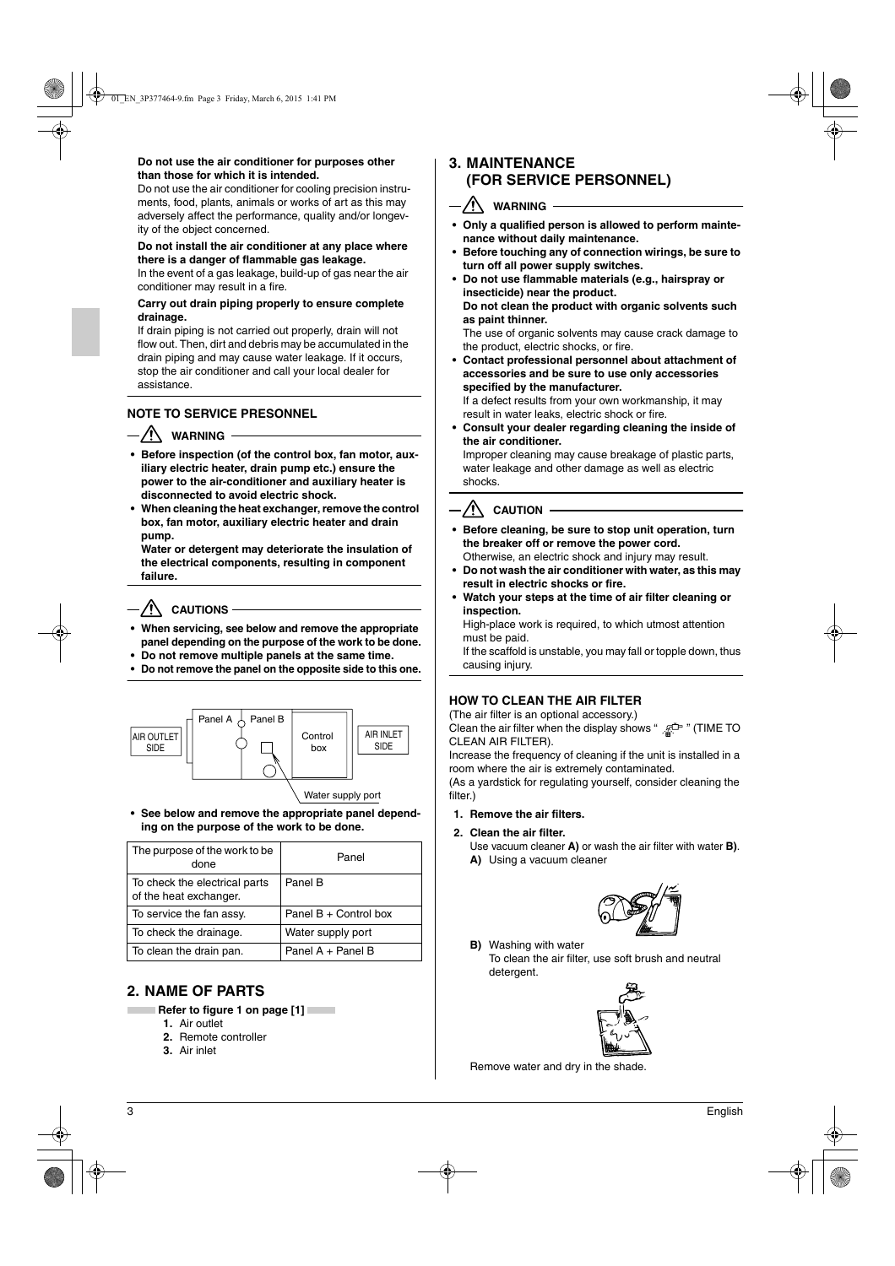### **Do not use the air conditioner for purposes other than those for which it is intended.**

Do not use the air conditioner for cooling precision instruments, food, plants, animals or works of art as this may adversely affect the performance, quality and/or longevity of the object concerned.

#### **Do not install the air conditioner at any place where there is a danger of flammable gas leakage.**

In the event of a gas leakage, build-up of gas near the air conditioner may result in a fire.

#### **Carry out drain piping properly to ensure complete drainage.**

If drain piping is not carried out properly, drain will not flow out. Then, dirt and debris may be accumulated in the drain piping and may cause water leakage. If it occurs, stop the air conditioner and call your local dealer for assistance.

#### **NOTE TO SERVICE PRESONNEL**

### $-\sqrt{N}$  WARNING

- **Before inspection (of the control box, fan motor, auxiliary electric heater, drain pump etc.) ensure the power to the air-conditioner and auxiliary heater is disconnected to avoid electric shock.**
- **When cleaning the heat exchanger, remove the control box, fan motor, auxiliary electric heater and drain pump.**

**Water or detergent may deteriorate the insulation of the electrical components, resulting in component failure.**

### $-\sqrt{N}$  CAUTIONS –

- **• When servicing, see below and remove the appropriate panel depending on the purpose of the work to be done.**
- **Do not remove multiple panels at the same time.**
- **• Do not remove the panel on the opposite side to this one.**



**• See below and remove the appropriate panel depending on the purpose of the work to be done.**

| The purpose of the work to be<br>done                   | Panel                 |
|---------------------------------------------------------|-----------------------|
| To check the electrical parts<br>of the heat exchanger. | Panel B               |
| To service the fan assy.                                | Panel B + Control box |
| To check the drainage.                                  | Water supply port     |
| To clean the drain pan.                                 | Panel A + Panel B     |

# **2. NAME OF PARTS**

- **Refer to figure 1 on page [1]** 
	- **1.** Air outlet
	- **2.** Remote controller
	- **3.** Air inlet

### **3. MAINTENANCE (FOR SERVICE PERSONNEL)**

### $\sqrt{!}$  WARNING -

- **Only a qualified person is allowed to perform maintenance without daily maintenance.**
- **Before touching any of connection wirings, be sure to turn off all power supply switches.**
- **Do not use flammable materials (e.g., hairspray or insecticide) near the product.**
- **Do not clean the product with organic solvents such as paint thinner.**

The use of organic solvents may cause crack damage to the product, electric shocks, or fire.

**• Contact professional personnel about attachment of accessories and be sure to use only accessories specified by the manufacturer.**

If a defect results from your own workmanship, it may result in water leaks, electric shock or fire.

**• Consult your dealer regarding cleaning the inside of the air conditioner.**

Improper cleaning may cause breakage of plastic parts, water leakage and other damage as well as electric shocks.

# $\sqrt{N}$  CAUTION -

- **Before cleaning, be sure to stop unit operation, turn the breaker off or remove the power cord.** Otherwise, an electric shock and injury may result.
- **Do not wash the air conditioner with water, as this may result in electric shocks or fire.**
- **Watch your steps at the time of air filter cleaning or inspection.**

High-place work is required, to which utmost attention must be paid.

If the scaffold is unstable, you may fall or topple down, thus causing injury.

### **HOW TO CLEAN THE AIR FILTER**

(The air filter is an optional accessory.)

Clean the air filter when the display shows "  $\frac{\pi}{m}$ " (TIME TO CLEAN AIR FILTER).

Increase the frequency of cleaning if the unit is installed in a room where the air is extremely contaminated.

(As a yardstick for regulating yourself, consider cleaning the filter.)

#### **1. Remove the air filters.**

**2. Clean the air filter.**

Use vacuum cleaner **A)** or wash the air filter with water **B)**. **A)** Using a vacuum cleaner



**B)** Washing with water

To clean the air filter, use soft brush and neutral detergent.



Remove water and dry in the shade.

3 English